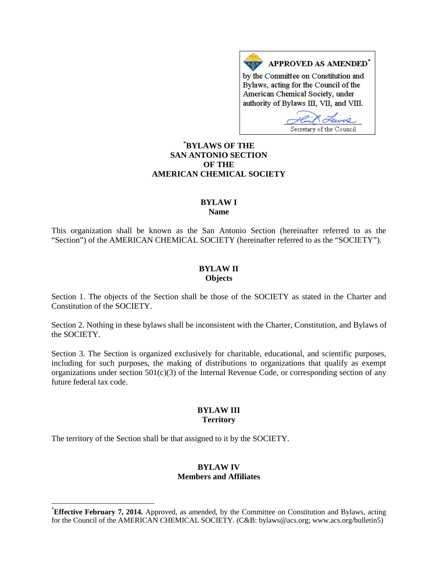APPROVED AS AMENDED\* by the Committee on Constitution and Bylaws, acting for the Council of the American Chemical Society, under authority of Bylaws III, VII, and VIII.

Secretary of the Council

# **[\\*](#page-0-0) BYLAWS OF THE SAN ANTONIO SECTION OF THE AMERICAN CHEMICAL SOCIETY**

### **BYLAW I Name**

This organization shall be known as the San Antonio Section (hereinafter referred to as the "Section") of the AMERICAN CHEMICAL SOCIETY (hereinafter referred to as the "SOCIETY").

### **BYLAW II Objects**

Section 1. The objects of the Section shall be those of the SOCIETY as stated in the Charter and Constitution of the SOCIETY.

Section 2. Nothing in these bylaws shall be inconsistent with the Charter, Constitution, and Bylaws of the SOCIETY.

Section 3. The Section is organized exclusively for charitable, educational, and scientific purposes, including for such purposes, the making of distributions to organizations that qualify as exempt organizations under section  $501(c)(3)$  of the Internal Revenue Code, or corresponding section of any future federal tax code.

### **BYLAW III Territory**

The territory of the Section shall be that assigned to it by the SOCIETY.

#### **BYLAW IV Members and Affiliates**

<span id="page-0-0"></span> <sup>\*</sup> **Effective February 7, 2014.** Approved, as amended, by the Committee on Constitution and Bylaws, acting for the Council of the AMERICAN CHEMICAL SOCIETY. (C&B: bylaws@acs.org; www.acs.org/bulletin5)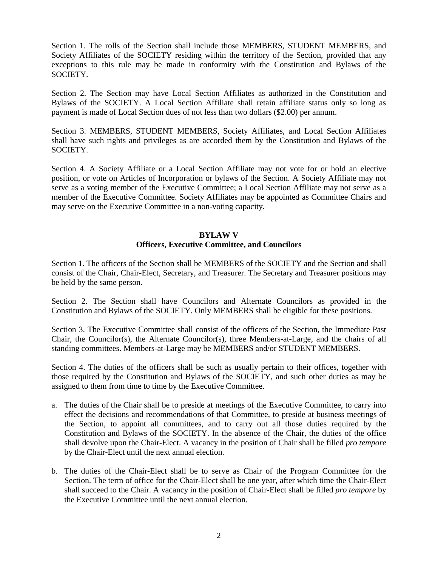Section 1. The rolls of the Section shall include those MEMBERS, STUDENT MEMBERS, and Society Affiliates of the SOCIETY residing within the territory of the Section, provided that any exceptions to this rule may be made in conformity with the Constitution and Bylaws of the SOCIETY.

Section 2. The Section may have Local Section Affiliates as authorized in the Constitution and Bylaws of the SOCIETY. A Local Section Affiliate shall retain affiliate status only so long as payment is made of Local Section dues of not less than two dollars (\$2.00) per annum.

Section 3. MEMBERS, STUDENT MEMBERS, Society Affiliates, and Local Section Affiliates shall have such rights and privileges as are accorded them by the Constitution and Bylaws of the SOCIETY.

Section 4. A Society Affiliate or a Local Section Affiliate may not vote for or hold an elective position, or vote on Articles of Incorporation or bylaws of the Section. A Society Affiliate may not serve as a voting member of the Executive Committee; a Local Section Affiliate may not serve as a member of the Executive Committee. Society Affiliates may be appointed as Committee Chairs and may serve on the Executive Committee in a non-voting capacity.

## **BYLAW V Officers, Executive Committee, and Councilors**

Section 1. The officers of the Section shall be MEMBERS of the SOCIETY and the Section and shall consist of the Chair, Chair-Elect, Secretary, and Treasurer. The Secretary and Treasurer positions may be held by the same person.

Section 2. The Section shall have Councilors and Alternate Councilors as provided in the Constitution and Bylaws of the SOCIETY. Only MEMBERS shall be eligible for these positions.

Section 3. The Executive Committee shall consist of the officers of the Section, the Immediate Past Chair, the Councilor(s), the Alternate Councilor(s), three Members-at-Large, and the chairs of all standing committees. Members-at-Large may be MEMBERS and/or STUDENT MEMBERS.

Section 4. The duties of the officers shall be such as usually pertain to their offices, together with those required by the Constitution and Bylaws of the SOCIETY, and such other duties as may be assigned to them from time to time by the Executive Committee.

- a. The duties of the Chair shall be to preside at meetings of the Executive Committee, to carry into effect the decisions and recommendations of that Committee, to preside at business meetings of the Section, to appoint all committees, and to carry out all those duties required by the Constitution and Bylaws of the SOCIETY. In the absence of the Chair, the duties of the office shall devolve upon the Chair-Elect. A vacancy in the position of Chair shall be filled *pro tempore* by the Chair-Elect until the next annual election.
- b. The duties of the Chair-Elect shall be to serve as Chair of the Program Committee for the Section. The term of office for the Chair-Elect shall be one year, after which time the Chair-Elect shall succeed to the Chair. A vacancy in the position of Chair-Elect shall be filled *pro tempore* by the Executive Committee until the next annual election.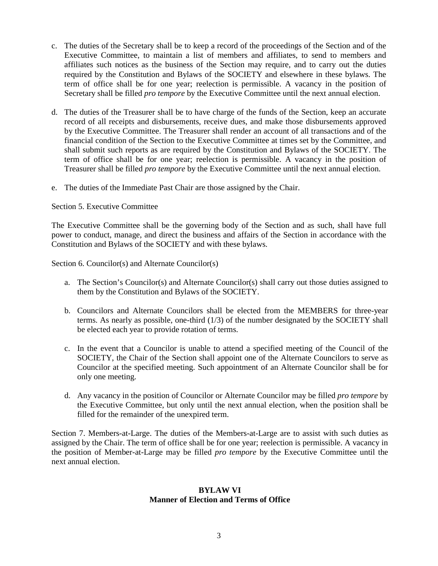- c. The duties of the Secretary shall be to keep a record of the proceedings of the Section and of the Executive Committee, to maintain a list of members and affiliates, to send to members and affiliates such notices as the business of the Section may require, and to carry out the duties required by the Constitution and Bylaws of the SOCIETY and elsewhere in these bylaws. The term of office shall be for one year; reelection is permissible. A vacancy in the position of Secretary shall be filled *pro tempore* by the Executive Committee until the next annual election.
- d. The duties of the Treasurer shall be to have charge of the funds of the Section, keep an accurate record of all receipts and disbursements, receive dues, and make those disbursements approved by the Executive Committee. The Treasurer shall render an account of all transactions and of the financial condition of the Section to the Executive Committee at times set by the Committee, and shall submit such reports as are required by the Constitution and Bylaws of the SOCIETY. The term of office shall be for one year; reelection is permissible. A vacancy in the position of Treasurer shall be filled *pro tempore* by the Executive Committee until the next annual election.
- e. The duties of the Immediate Past Chair are those assigned by the Chair.

### Section 5. Executive Committee

The Executive Committee shall be the governing body of the Section and as such, shall have full power to conduct, manage, and direct the business and affairs of the Section in accordance with the Constitution and Bylaws of the SOCIETY and with these bylaws.

Section 6. Councilor(s) and Alternate Councilor(s)

- a. The Section's Councilor(s) and Alternate Councilor(s) shall carry out those duties assigned to them by the Constitution and Bylaws of the SOCIETY.
- b. Councilors and Alternate Councilors shall be elected from the MEMBERS for three-year terms. As nearly as possible, one-third (1/3) of the number designated by the SOCIETY shall be elected each year to provide rotation of terms.
- c. In the event that a Councilor is unable to attend a specified meeting of the Council of the SOCIETY, the Chair of the Section shall appoint one of the Alternate Councilors to serve as Councilor at the specified meeting. Such appointment of an Alternate Councilor shall be for only one meeting.
- d. Any vacancy in the position of Councilor or Alternate Councilor may be filled *pro tempore* by the Executive Committee, but only until the next annual election, when the position shall be filled for the remainder of the unexpired term.

Section 7. Members-at-Large. The duties of the Members-at-Large are to assist with such duties as assigned by the Chair. The term of office shall be for one year; reelection is permissible. A vacancy in the position of Member-at-Large may be filled *pro tempore* by the Executive Committee until the next annual election.

### **BYLAW VI Manner of Election and Terms of Office**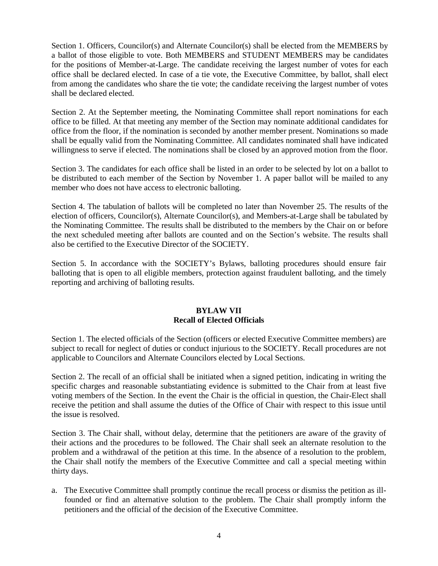Section 1. Officers, Councilor(s) and Alternate Councilor(s) shall be elected from the MEMBERS by a ballot of those eligible to vote. Both MEMBERS and STUDENT MEMBERS may be candidates for the positions of Member-at-Large. The candidate receiving the largest number of votes for each office shall be declared elected. In case of a tie vote, the Executive Committee, by ballot, shall elect from among the candidates who share the tie vote; the candidate receiving the largest number of votes shall be declared elected.

Section 2. At the September meeting, the Nominating Committee shall report nominations for each office to be filled. At that meeting any member of the Section may nominate additional candidates for office from the floor, if the nomination is seconded by another member present. Nominations so made shall be equally valid from the Nominating Committee. All candidates nominated shall have indicated willingness to serve if elected. The nominations shall be closed by an approved motion from the floor.

Section 3. The candidates for each office shall be listed in an order to be selected by lot on a ballot to be distributed to each member of the Section by November 1. A paper ballot will be mailed to any member who does not have access to electronic balloting.

Section 4. The tabulation of ballots will be completed no later than November 25. The results of the election of officers, Councilor(s), Alternate Councilor(s), and Members-at-Large shall be tabulated by the Nominating Committee. The results shall be distributed to the members by the Chair on or before the next scheduled meeting after ballots are counted and on the Section's website. The results shall also be certified to the Executive Director of the SOCIETY.

Section 5. In accordance with the SOCIETY's Bylaws, balloting procedures should ensure fair balloting that is open to all eligible members, protection against fraudulent balloting, and the timely reporting and archiving of balloting results.

### **BYLAW VII Recall of Elected Officials**

Section 1. The elected officials of the Section (officers or elected Executive Committee members) are subject to recall for neglect of duties or conduct injurious to the SOCIETY. Recall procedures are not applicable to Councilors and Alternate Councilors elected by Local Sections.

Section 2. The recall of an official shall be initiated when a signed petition, indicating in writing the specific charges and reasonable substantiating evidence is submitted to the Chair from at least five voting members of the Section. In the event the Chair is the official in question, the Chair-Elect shall receive the petition and shall assume the duties of the Office of Chair with respect to this issue until the issue is resolved.

Section 3. The Chair shall, without delay, determine that the petitioners are aware of the gravity of their actions and the procedures to be followed. The Chair shall seek an alternate resolution to the problem and a withdrawal of the petition at this time. In the absence of a resolution to the problem, the Chair shall notify the members of the Executive Committee and call a special meeting within thirty days.

a. The Executive Committee shall promptly continue the recall process or dismiss the petition as illfounded or find an alternative solution to the problem. The Chair shall promptly inform the petitioners and the official of the decision of the Executive Committee.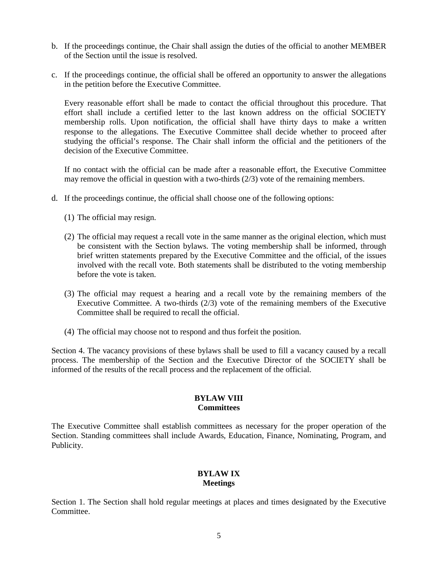- b. If the proceedings continue, the Chair shall assign the duties of the official to another MEMBER of the Section until the issue is resolved.
- c. If the proceedings continue, the official shall be offered an opportunity to answer the allegations in the petition before the Executive Committee.

Every reasonable effort shall be made to contact the official throughout this procedure. That effort shall include a certified letter to the last known address on the official SOCIETY membership rolls. Upon notification, the official shall have thirty days to make a written response to the allegations. The Executive Committee shall decide whether to proceed after studying the official's response. The Chair shall inform the official and the petitioners of the decision of the Executive Committee.

If no contact with the official can be made after a reasonable effort, the Executive Committee may remove the official in question with a two-thirds (2/3) vote of the remaining members.

- d. If the proceedings continue, the official shall choose one of the following options:
	- (1) The official may resign.
	- (2) The official may request a recall vote in the same manner as the original election, which must be consistent with the Section bylaws. The voting membership shall be informed, through brief written statements prepared by the Executive Committee and the official, of the issues involved with the recall vote. Both statements shall be distributed to the voting membership before the vote is taken.
	- (3) The official may request a hearing and a recall vote by the remaining members of the Executive Committee. A two-thirds (2/3) vote of the remaining members of the Executive Committee shall be required to recall the official.
	- (4) The official may choose not to respond and thus forfeit the position.

Section 4. The vacancy provisions of these bylaws shall be used to fill a vacancy caused by a recall process. The membership of the Section and the Executive Director of the SOCIETY shall be informed of the results of the recall process and the replacement of the official.

### **BYLAW VIII Committees**

The Executive Committee shall establish committees as necessary for the proper operation of the Section. Standing committees shall include Awards, Education, Finance, Nominating, Program, and Publicity.

## **BYLAW IX Meetings**

Section 1. The Section shall hold regular meetings at places and times designated by the Executive Committee.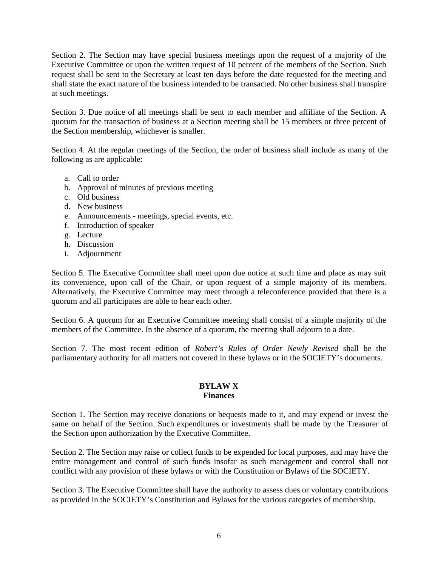Section 2. The Section may have special business meetings upon the request of a majority of the Executive Committee or upon the written request of 10 percent of the members of the Section. Such request shall be sent to the Secretary at least ten days before the date requested for the meeting and shall state the exact nature of the business intended to be transacted. No other business shall transpire at such meetings.

Section 3. Due notice of all meetings shall be sent to each member and affiliate of the Section. A quorum for the transaction of business at a Section meeting shall be 15 members or three percent of the Section membership, whichever is smaller.

Section 4. At the regular meetings of the Section, the order of business shall include as many of the following as are applicable:

- a. Call to order
- b. Approval of minutes of previous meeting
- c. Old business
- d. New business
- e. Announcements meetings, special events, etc.
- f. Introduction of speaker
- g. Lecture
- h. Discussion
- i. Adjournment

Section 5. The Executive Committee shall meet upon due notice at such time and place as may suit its convenience, upon call of the Chair, or upon request of a simple majority of its members. Alternatively, the Executive Committee may meet through a teleconference provided that there is a quorum and all participates are able to hear each other.

Section 6. A quorum for an Executive Committee meeting shall consist of a simple majority of the members of the Committee. In the absence of a quorum, the meeting shall adjourn to a date.

Section 7. The most recent edition of *Robert's Rules of Order Newly Revised* shall be the parliamentary authority for all matters not covered in these bylaws or in the SOCIETY's documents.

#### **BYLAW X Finances**

Section 1. The Section may receive donations or bequests made to it, and may expend or invest the same on behalf of the Section. Such expenditures or investments shall be made by the Treasurer of the Section upon authorization by the Executive Committee.

Section 2. The Section may raise or collect funds to be expended for local purposes, and may have the entire management and control of such funds insofar as such management and control shall not conflict with any provision of these bylaws or with the Constitution or Bylaws of the SOCIETY.

Section 3. The Executive Committee shall have the authority to assess dues or voluntary contributions as provided in the SOCIETY's Constitution and Bylaws for the various categories of membership.